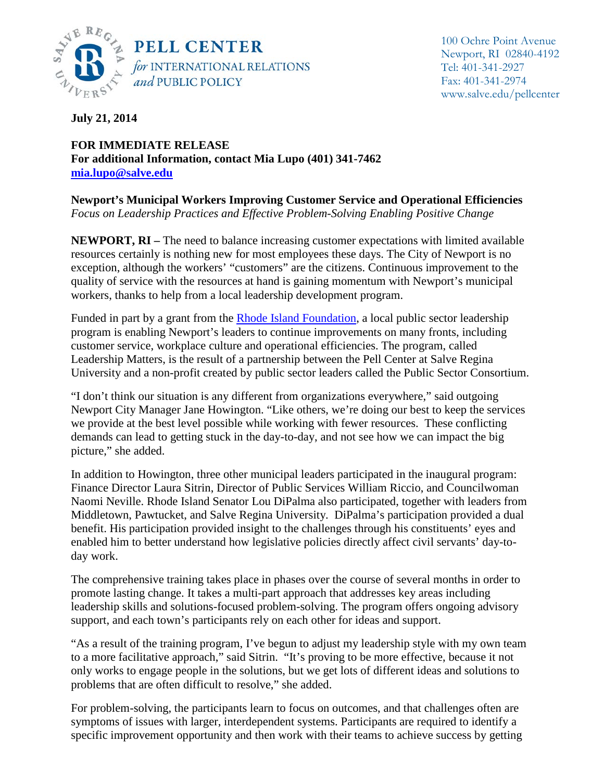

**July 21, 2014**

**FOR IMMEDIATE RELEASE For additional Information, contact Mia Lupo (401) 341-7462 [mia.lupo@salve.edu](mailto:mia.lupo@salve.edu)**

**Newport's Municipal Workers Improving Customer Service and Operational Efficiencies** *Focus on Leadership Practices and Effective Problem-Solving Enabling Positive Change*

**NEWPORT, RI** – The need to balance increasing customer expectations with limited available resources certainly is nothing new for most employees these days. The City of Newport is no exception, although the workers' "customers" are the citizens. Continuous improvement to the quality of service with the resources at hand is gaining momentum with Newport's municipal workers, thanks to help from a local leadership development program.

Funded in part by a grant from the [Rhode Island Foundation,](http://www.rifoundation.org/default.aspx) a local public sector leadership program is enabling Newport's leaders to continue improvements on many fronts, including customer service, workplace culture and operational efficiencies. The program, called Leadership Matters, is the result of a partnership between the Pell Center at Salve Regina University and a non-profit created by public sector leaders called the Public Sector Consortium.

"I don't think our situation is any different from organizations everywhere," said outgoing Newport City Manager Jane Howington. "Like others, we're doing our best to keep the services we provide at the best level possible while working with fewer resources. These conflicting demands can lead to getting stuck in the day-to-day, and not see how we can impact the big picture," she added.

In addition to Howington, three other municipal leaders participated in the inaugural program: Finance Director Laura Sitrin, Director of Public Services William Riccio, and Councilwoman Naomi Neville. Rhode Island Senator Lou DiPalma also participated, together with leaders from Middletown, Pawtucket, and Salve Regina University. DiPalma's participation provided a dual benefit. His participation provided insight to the challenges through his constituents' eyes and enabled him to better understand how legislative policies directly affect civil servants' day-today work.

The comprehensive training takes place in phases over the course of several months in order to promote lasting change. It takes a multi-part approach that addresses key areas including leadership skills and solutions-focused problem-solving. The program offers ongoing advisory support, and each town's participants rely on each other for ideas and support.

"As a result of the training program, I've begun to adjust my leadership style with my own team to a more facilitative approach," said Sitrin. "It's proving to be more effective, because it not only works to engage people in the solutions, but we get lots of different ideas and solutions to problems that are often difficult to resolve," she added.

For problem-solving, the participants learn to focus on outcomes, and that challenges often are symptoms of issues with larger, interdependent systems. Participants are required to identify a specific improvement opportunity and then work with their teams to achieve success by getting